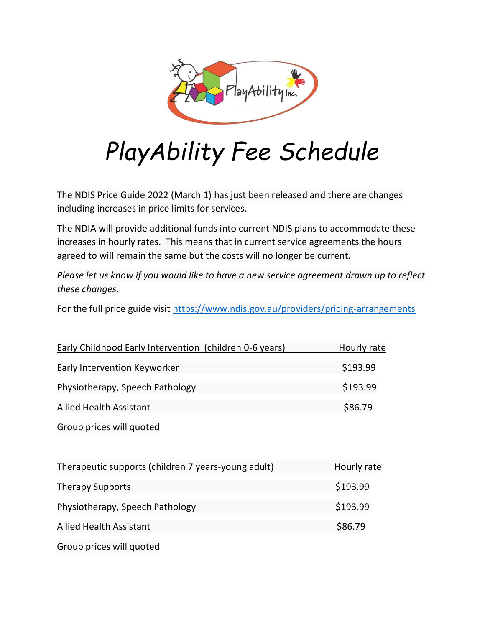

# *PlayAbility Fee Schedule*

The NDIS Price Guide 2022 (March 1) has just been released and there are changes including increases in price limits for services.

The NDIA will provide additional funds into current NDIS plans to accommodate these increases in hourly rates. This means that in current service agreements the hours agreed to will remain the same but the costs will no longer be current.

*Please let us know if you would like to have a new service agreement drawn up to reflect these changes.*

For the full price guide visit <https://www.ndis.gov.au/providers/pricing-arrangements>

| <b>Early Childhood Early Intervention (children 0-6 years)</b> | Hourly rate |
|----------------------------------------------------------------|-------------|
| Early Intervention Keyworker                                   | \$193.99    |
| Physiotherapy, Speech Pathology                                | \$193.99    |
| <b>Allied Health Assistant</b>                                 | \$86.79     |

Group prices will quoted

| Therapeutic supports (children 7 years-young adult) | Hourly rate |
|-----------------------------------------------------|-------------|
| <b>Therapy Supports</b>                             | \$193.99    |
| Physiotherapy, Speech Pathology                     | \$193.99    |
| <b>Allied Health Assistant</b>                      | \$86.79     |
| Group prices will quoted                            |             |